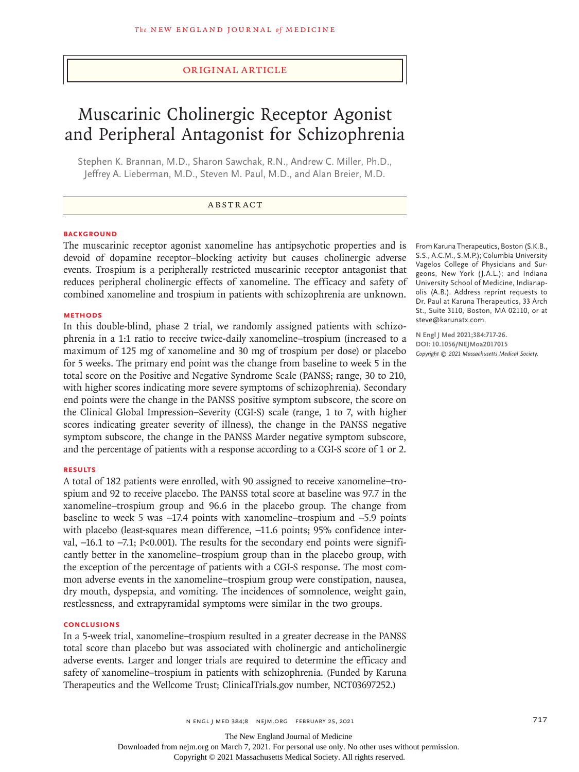## Original Article

# Muscarinic Cholinergic Receptor Agonist and Peripheral Antagonist for Schizophrenia

Stephen K. Brannan, M.D., Sharon Sawchak, R.N., Andrew C. Miller, Ph.D., Jeffrey A. Lieberman, M.D., Steven M. Paul, M.D., and Alan Breier, M.D.

## ABSTRACT

### **BACKGROUND**

The muscarinic receptor agonist xanomeline has antipsychotic properties and is devoid of dopamine receptor–blocking activity but causes cholinergic adverse events. Trospium is a peripherally restricted muscarinic receptor antagonist that reduces peripheral cholinergic effects of xanomeline. The efficacy and safety of combined xanomeline and trospium in patients with schizophrenia are unknown.

#### **METHODS**

In this double-blind, phase 2 trial, we randomly assigned patients with schizophrenia in a 1:1 ratio to receive twice-daily xanomeline–trospium (increased to a maximum of 125 mg of xanomeline and 30 mg of trospium per dose) or placebo for 5 weeks. The primary end point was the change from baseline to week 5 in the total score on the Positive and Negative Syndrome Scale (PANSS; range, 30 to 210, with higher scores indicating more severe symptoms of schizophrenia). Secondary end points were the change in the PANSS positive symptom subscore, the score on the Clinical Global Impression–Severity (CGI-S) scale (range, 1 to 7, with higher scores indicating greater severity of illness), the change in the PANSS negative symptom subscore, the change in the PANSS Marder negative symptom subscore, and the percentage of patients with a response according to a CGI-S score of 1 or 2.

#### **RESULTS**

A total of 182 patients were enrolled, with 90 assigned to receive xanomeline–trospium and 92 to receive placebo. The PANSS total score at baseline was 97.7 in the xanomeline–trospium group and 96.6 in the placebo group. The change from baseline to week 5 was −17.4 points with xanomeline–trospium and −5.9 points with placebo (least-squares mean difference, −11.6 points; 95% confidence interval, −16.1 to −7.1; P<0.001). The results for the secondary end points were significantly better in the xanomeline–trospium group than in the placebo group, with the exception of the percentage of patients with a CGI-S response. The most common adverse events in the xanomeline–trospium group were constipation, nausea, dry mouth, dyspepsia, and vomiting. The incidences of somnolence, weight gain, restlessness, and extrapyramidal symptoms were similar in the two groups.

#### **CONCLUSIONS**

In a 5-week trial, xanomeline–trospium resulted in a greater decrease in the PANSS total score than placebo but was associated with cholinergic and anticholinergic adverse events. Larger and longer trials are required to determine the efficacy and safety of xanomeline–trospium in patients with schizophrenia. (Funded by Karuna Therapeutics and the Wellcome Trust; ClinicalTrials.gov number, NCT03697252.)

From Karuna Therapeutics, Boston (S.K.B., S.S., A.C.M., S.M.P.); Columbia University Vagelos College of Physicians and Surgeons, New York (J.A.L.); and Indiana University School of Medicine, Indianapolis (A.B.). Address reprint requests to Dr. Paul at Karuna Therapeutics, 33 Arch St., Suite 3110, Boston, MA 02110, or at steve@karunatx.com.

**N Engl J Med 2021;384:717-26. DOI: 10.1056/NEJMoa2017015** *Copyright © 2021 Massachusetts Medical Society.*

The New England Journal of Medicine

Downloaded from nejm.org on March 7, 2021. For personal use only. No other uses without permission.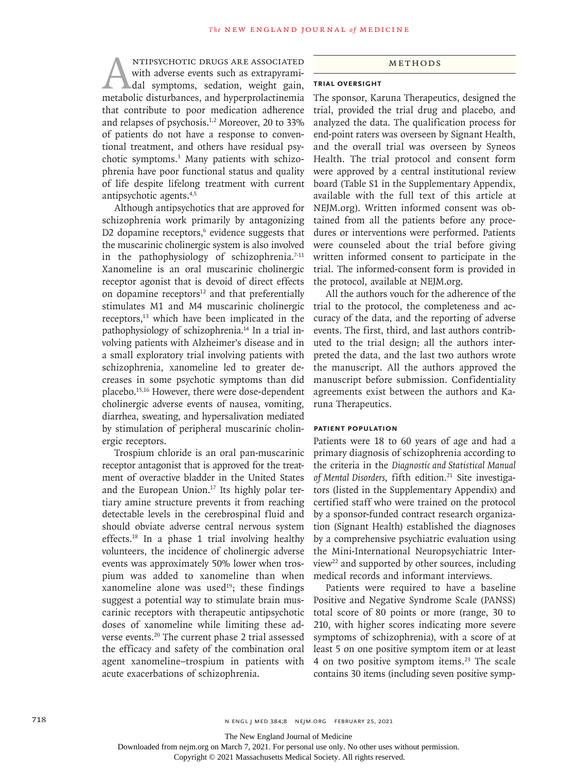NTIPSYCHOTIC DRUGS ARE ASSOCIATED<br>with adverse events such as extrapyrami-<br>dal symptoms, sedation, weight gain,<br>metabolic disturbances, and hyperprolactinemia with adverse events such as extrapyramidal symptoms, sedation, weight gain, metabolic disturbances, and hyperprolactinemia that contribute to poor medication adherence and relapses of psychosis.1,2 Moreover, 20 to 33% of patients do not have a response to conventional treatment, and others have residual psychotic symptoms.3 Many patients with schizophrenia have poor functional status and quality of life despite lifelong treatment with current antipsychotic agents.4,5

Although antipsychotics that are approved for schizophrenia work primarily by antagonizing D2 dopamine receptors, $6$  evidence suggests that the muscarinic cholinergic system is also involved in the pathophysiology of schizophrenia.<sup>7-11</sup> Xanomeline is an oral muscarinic cholinergic receptor agonist that is devoid of direct effects on dopamine receptors $12$  and that preferentially stimulates M1 and M4 muscarinic cholinergic receptors,<sup>13</sup> which have been implicated in the pathophysiology of schizophrenia.14 In a trial involving patients with Alzheimer's disease and in a small exploratory trial involving patients with schizophrenia, xanomeline led to greater decreases in some psychotic symptoms than did placebo.15,16 However, there were dose-dependent cholinergic adverse events of nausea, vomiting, diarrhea, sweating, and hypersalivation mediated by stimulation of peripheral muscarinic cholinergic receptors.

Trospium chloride is an oral pan-muscarinic receptor antagonist that is approved for the treatment of overactive bladder in the United States and the European Union.<sup>17</sup> Its highly polar tertiary amine structure prevents it from reaching detectable levels in the cerebrospinal fluid and should obviate adverse central nervous system effects.18 In a phase 1 trial involving healthy volunteers, the incidence of cholinergic adverse events was approximately 50% lower when trospium was added to xanomeline than when xanomeline alone was used $19$ ; these findings suggest a potential way to stimulate brain muscarinic receptors with therapeutic antipsychotic doses of xanomeline while limiting these adverse events.20 The current phase 2 trial assessed the efficacy and safety of the combination oral agent xanomeline–trospium in patients with acute exacerbations of schizophrenia.

#### Methods

### **Trial Oversight**

The sponsor, Karuna Therapeutics, designed the trial, provided the trial drug and placebo, and analyzed the data. The qualification process for end-point raters was overseen by Signant Health, and the overall trial was overseen by Syneos Health. The trial protocol and consent form were approved by a central institutional review board (Table S1 in the Supplementary Appendix, available with the full text of this article at NEJM.org). Written informed consent was obtained from all the patients before any procedures or interventions were performed. Patients were counseled about the trial before giving written informed consent to participate in the trial. The informed-consent form is provided in the protocol, available at NEJM.org.

All the authors vouch for the adherence of the trial to the protocol, the completeness and accuracy of the data, and the reporting of adverse events. The first, third, and last authors contributed to the trial design; all the authors interpreted the data, and the last two authors wrote the manuscript. All the authors approved the manuscript before submission. Confidentiality agreements exist between the authors and Karuna Therapeutics.

## **Patient Population**

Patients were 18 to 60 years of age and had a primary diagnosis of schizophrenia according to the criteria in the *Diagnostic and Statistical Manual*  of Mental Disorders, fifth edition.<sup>21</sup> Site investigators (listed in the Supplementary Appendix) and certified staff who were trained on the protocol by a sponsor-funded contract research organization (Signant Health) established the diagnoses by a comprehensive psychiatric evaluation using the Mini-International Neuropsychiatric Interview22 and supported by other sources, including medical records and informant interviews.

Patients were required to have a baseline Positive and Negative Syndrome Scale (PANSS) total score of 80 points or more (range, 30 to 210, with higher scores indicating more severe symptoms of schizophrenia), with a score of at least 5 on one positive symptom item or at least 4 on two positive symptom items.23 The scale contains 30 items (including seven positive symp-

The New England Journal of Medicine

Downloaded from nejm.org on March 7, 2021. For personal use only. No other uses without permission.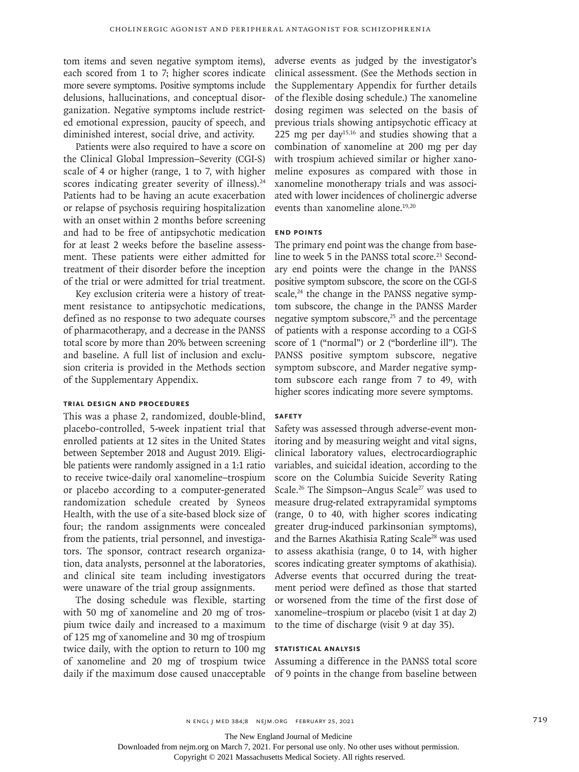tom items and seven negative symptom items), each scored from 1 to 7; higher scores indicate more severe symptoms. Positive symptoms include delusions, hallucinations, and conceptual disorganization. Negative symptoms include restricted emotional expression, paucity of speech, and diminished interest, social drive, and activity.

Patients were also required to have a score on the Clinical Global Impression–Severity (CGI-S) scale of 4 or higher (range, 1 to 7, with higher scores indicating greater severity of illness).<sup>24</sup> Patients had to be having an acute exacerbation or relapse of psychosis requiring hospitalization with an onset within 2 months before screening and had to be free of antipsychotic medication for at least 2 weeks before the baseline assessment. These patients were either admitted for treatment of their disorder before the inception of the trial or were admitted for trial treatment.

Key exclusion criteria were a history of treatment resistance to antipsychotic medications, defined as no response to two adequate courses of pharmacotherapy, and a decrease in the PANSS total score by more than 20% between screening and baseline. A full list of inclusion and exclusion criteria is provided in the Methods section of the Supplementary Appendix.

## **Trial Design and Procedures**

This was a phase 2, randomized, double-blind, placebo-controlled, 5-week inpatient trial that enrolled patients at 12 sites in the United States between September 2018 and August 2019. Eligible patients were randomly assigned in a 1:1 ratio to receive twice-daily oral xanomeline–trospium or placebo according to a computer-generated randomization schedule created by Syneos Health, with the use of a site-based block size of four; the random assignments were concealed from the patients, trial personnel, and investigators. The sponsor, contract research organization, data analysts, personnel at the laboratories, and clinical site team including investigators were unaware of the trial group assignments.

The dosing schedule was flexible, starting with 50 mg of xanomeline and 20 mg of trospium twice daily and increased to a maximum of 125 mg of xanomeline and 30 mg of trospium twice daily, with the option to return to 100 mg of xanomeline and 20 mg of trospium twice daily if the maximum dose caused unacceptable adverse events as judged by the investigator's clinical assessment. (See the Methods section in the Supplementary Appendix for further details of the flexible dosing schedule.) The xanomeline dosing regimen was selected on the basis of previous trials showing antipsychotic efficacy at 225 mg per day<sup>15,16</sup> and studies showing that a combination of xanomeline at 200 mg per day with trospium achieved similar or higher xanomeline exposures as compared with those in xanomeline monotherapy trials and was associated with lower incidences of cholinergic adverse events than xanomeline alone.<sup>19,20</sup>

## **End Points**

The primary end point was the change from baseline to week 5 in the PANSS total score.<sup>23</sup> Secondary end points were the change in the PANSS positive symptom subscore, the score on the CGI-S scale, $24$  the change in the PANSS negative symptom subscore, the change in the PANSS Marder negative symptom subscore, $25$  and the percentage of patients with a response according to a CGI-S score of 1 ("normal") or 2 ("borderline ill"). The PANSS positive symptom subscore, negative symptom subscore, and Marder negative symptom subscore each range from 7 to 49, with higher scores indicating more severe symptoms.

#### **Safety**

Safety was assessed through adverse-event monitoring and by measuring weight and vital signs, clinical laboratory values, electrocardiographic variables, and suicidal ideation, according to the score on the Columbia Suicide Severity Rating Scale.<sup>26</sup> The Simpson–Angus Scale<sup>27</sup> was used to measure drug-related extrapyramidal symptoms (range, 0 to 40, with higher scores indicating greater drug-induced parkinsonian symptoms), and the Barnes Akathisia Rating Scale28 was used to assess akathisia (range, 0 to 14, with higher scores indicating greater symptoms of akathisia). Adverse events that occurred during the treatment period were defined as those that started or worsened from the time of the first dose of xanomeline–trospium or placebo (visit 1 at day 2) to the time of discharge (visit 9 at day 35).

## **Statistical Analysis**

Assuming a difference in the PANSS total score of 9 points in the change from baseline between

The New England Journal of Medicine

Downloaded from nejm.org on March 7, 2021. For personal use only. No other uses without permission.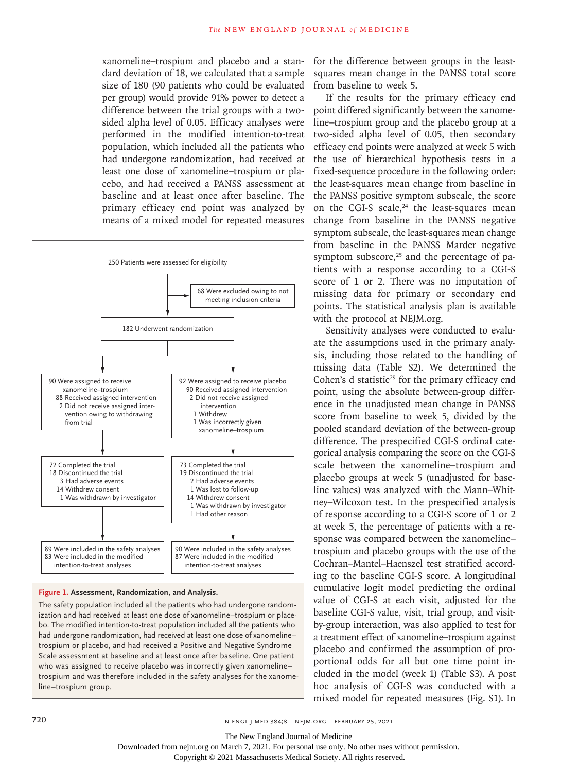xanomeline–trospium and placebo and a standard deviation of 18, we calculated that a sample size of 180 (90 patients who could be evaluated per group) would provide 91% power to detect a difference between the trial groups with a twosided alpha level of 0.05. Efficacy analyses were performed in the modified intention-to-treat population, which included all the patients who had undergone randomization, had received at least one dose of xanomeline–trospium or placebo, and had received a PANSS assessment at baseline and at least once after baseline. The primary efficacy end point was analyzed by means of a mixed model for repeated measures



#### **Figure 1. Assessment, Randomization, and Analysis.**

The safety population included all the patients who had undergone randomization and had received at least one dose of xanomeline–trospium or placebo. The modified intention-to-treat population included all the patients who had undergone randomization, had received at least one dose of xanomeline– trospium or placebo, and had received a Positive and Negative Syndrome Scale assessment at baseline and at least once after baseline. One patient who was assigned to receive placebo was incorrectly given xanomeline– trospium and was therefore included in the safety analyses for the xanomeline–trospium group.

for the difference between groups in the leastsquares mean change in the PANSS total score from baseline to week 5.

If the results for the primary efficacy end point differed significantly between the xanomeline–trospium group and the placebo group at a two-sided alpha level of 0.05, then secondary efficacy end points were analyzed at week 5 with the use of hierarchical hypothesis tests in a fixed-sequence procedure in the following order: the least-squares mean change from baseline in the PANSS positive symptom subscale, the score on the CGI-S scale, $24$  the least-squares mean change from baseline in the PANSS negative symptom subscale, the least-squares mean change from baseline in the PANSS Marder negative symptom subscore, $25$  and the percentage of patients with a response according to a CGI-S score of 1 or 2. There was no imputation of missing data for primary or secondary end points. The statistical analysis plan is available with the protocol at NEJM.org.

Sensitivity analyses were conducted to evaluate the assumptions used in the primary analysis, including those related to the handling of missing data (Table S2). We determined the Cohen's d statistic<sup>29</sup> for the primary efficacy end point, using the absolute between-group difference in the unadjusted mean change in PANSS score from baseline to week 5, divided by the pooled standard deviation of the between-group difference. The prespecified CGI-S ordinal categorical analysis comparing the score on the CGI-S scale between the xanomeline–trospium and placebo groups at week 5 (unadjusted for baseline values) was analyzed with the Mann–Whitney–Wilcoxon test. In the prespecified analysis of response according to a CGI-S score of 1 or 2 at week 5, the percentage of patients with a response was compared between the xanomeline– trospium and placebo groups with the use of the Cochran–Mantel–Haenszel test stratified according to the baseline CGI-S score. A longitudinal cumulative logit model predicting the ordinal value of CGI-S at each visit, adjusted for the baseline CGI-S value, visit, trial group, and visitby-group interaction, was also applied to test for a treatment effect of xanomeline–trospium against placebo and confirmed the assumption of proportional odds for all but one time point included in the model (week 1) (Table S3). A post hoc analysis of CGI-S was conducted with a mixed model for repeated measures (Fig. S1). In

720 n engl j med 384;8 nejm.org February 25, 2021

The New England Journal of Medicine

Downloaded from nejm.org on March 7, 2021. For personal use only. No other uses without permission.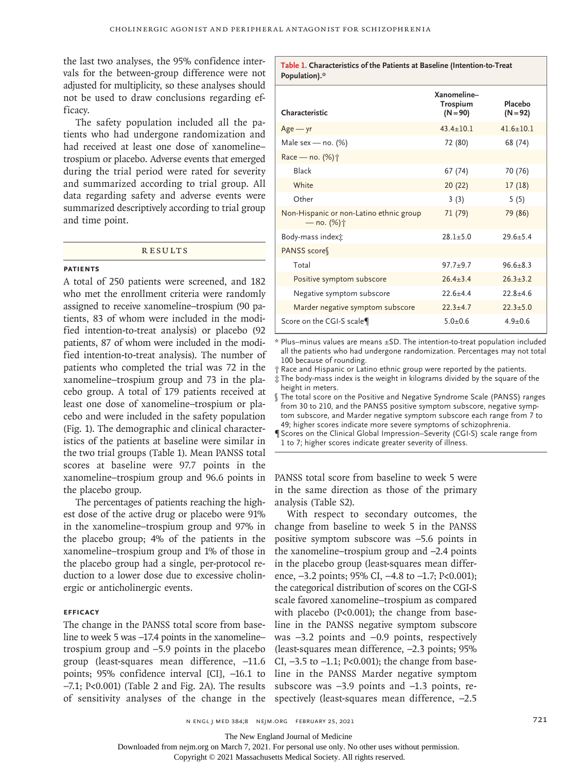the last two analyses, the 95% confidence intervals for the between-group difference were not adjusted for multiplicity, so these analyses should not be used to draw conclusions regarding efficacy.

The safety population included all the patients who had undergone randomization and had received at least one dose of xanomeline– trospium or placebo. Adverse events that emerged during the trial period were rated for severity and summarized according to trial group. All data regarding safety and adverse events were summarized descriptively according to trial group and time point.

#### **RESULTS**

## **Patients**

A total of 250 patients were screened, and 182 who met the enrollment criteria were randomly assigned to receive xanomeline–trospium (90 patients, 83 of whom were included in the modified intention-to-treat analysis) or placebo (92 patients, 87 of whom were included in the modified intention-to-treat analysis). The number of patients who completed the trial was 72 in the xanomeline–trospium group and 73 in the placebo group. A total of 179 patients received at least one dose of xanomeline–trospium or placebo and were included in the safety population (Fig. 1). The demographic and clinical characteristics of the patients at baseline were similar in the two trial groups (Table 1). Mean PANSS total scores at baseline were 97.7 points in the xanomeline–trospium group and 96.6 points in the placebo group.

The percentages of patients reaching the highest dose of the active drug or placebo were 91% in the xanomeline–trospium group and 97% in the placebo group; 4% of the patients in the xanomeline–trospium group and 1% of those in the placebo group had a single, per-protocol reduction to a lower dose due to excessive cholinergic or anticholinergic events.

## **Efficacy**

The change in the PANSS total score from baseline to week 5 was −17.4 points in the xanomeline– trospium group and −5.9 points in the placebo group (least-squares mean difference, −11.6 points; 95% confidence interval [CI], −16.1 to −7.1; P<0.001) (Table 2 and Fig. 2A). The results of sensitivity analyses of the change in the spectively (least-squares mean difference, −2.5

**Table 1. Characteristics of the Patients at Baseline (Intention-to-Treat Population).\***

| Characteristic                                        | Xanomeline-<br><b>Trospium</b><br>$(N = 90)$ | Placebo<br>$(N = 92)$ |
|-------------------------------------------------------|----------------------------------------------|-----------------------|
| $Age - yr$                                            | $43.4 + 10.1$                                | $41.6 + 10.1$         |
| Male sex - no. (%)                                    | 72 (80)                                      | 68 (74)               |
| Race - no. (%) <sup>+</sup>                           |                                              |                       |
| Black                                                 | 67 (74)                                      | 70 (76)               |
| White                                                 | 20(22)                                       | 17(18)                |
| Other                                                 | 3(3)                                         | 5(5)                  |
| Non-Hispanic or non-Latino ethnic group<br>— no. (%)† | 71 (79)                                      | 79 (86)               |
| Body-mass index <sub>1</sub> :                        | $28.1 + 5.0$                                 | $29.6 + 5.4$          |
| PANSS score                                           |                                              |                       |
| Total                                                 | $97.7 + 9.7$                                 | $96.6 + 8.3$          |
| Positive symptom subscore                             | $26.4 + 3.4$                                 | $26.3 + 3.2$          |
| Negative symptom subscore                             | $22.6 + 4.4$                                 | $22.8 + 4.6$          |
| Marder negative symptom subscore                      | $22.3 + 4.7$                                 | $22.3 + 5.0$          |
| Score on the CGI-S scale                              | $5.0 + 0.6$                                  | $4.9 + 0.6$           |

\* Plus–minus values are means ±SD. The intention-to-treat population included all the patients who had undergone randomization. Percentages may not total 100 because of rounding.

† Race and Hispanic or Latino ethnic group were reported by the patients. ‡ The body-mass index is the weight in kilograms divided by the square of the

height in meters.

The total score on the Positive and Negative Syndrome Scale (PANSS) ranges from 30 to 210, and the PANSS positive symptom subscore, negative symptom subscore, and Marder negative symptom subscore each range from 7 to 49; higher scores indicate more severe symptoms of schizophrenia.

¶ Scores on the Clinical Global Impression–Severity (CGI-S) scale range from 1 to 7; higher scores indicate greater severity of illness.

PANSS total score from baseline to week 5 were in the same direction as those of the primary analysis (Table S2).

With respect to secondary outcomes, the change from baseline to week 5 in the PANSS positive symptom subscore was −5.6 points in the xanomeline–trospium group and −2.4 points in the placebo group (least-squares mean difference, −3.2 points; 95% CI, −4.8 to −1.7; P<0.001); the categorical distribution of scores on the CGI-S scale favored xanomeline–trospium as compared with placebo (P<0.001); the change from baseline in the PANSS negative symptom subscore was −3.2 points and −0.9 points, respectively (least-squares mean difference, −2.3 points; 95% CI, −3.5 to −1.1; P<0.001); the change from baseline in the PANSS Marder negative symptom subscore was −3.9 points and −1.3 points, re-

n engl j med 384;8 nejm.org February 25, 2021 721

The New England Journal of Medicine

Downloaded from nejm.org on March 7, 2021. For personal use only. No other uses without permission.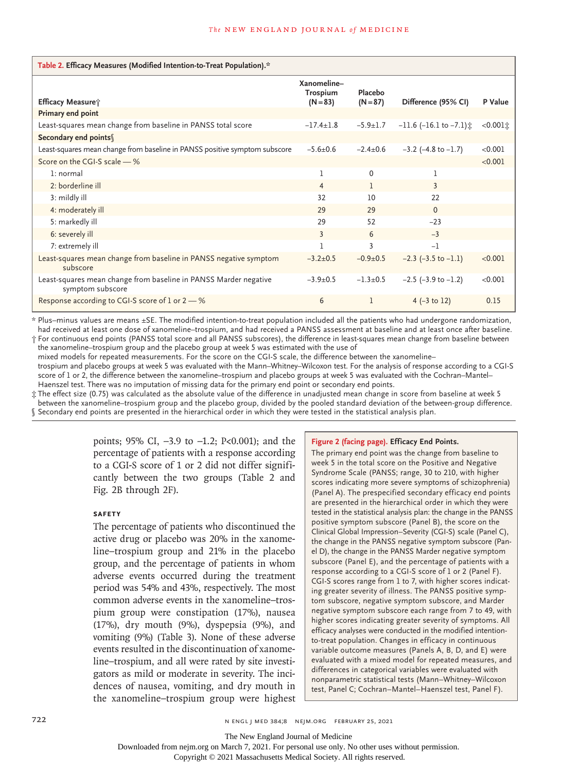| Table 2. Efficacy Measures (Modified Intention-to-Treat Population).*                |                                       |                       |                                  |             |
|--------------------------------------------------------------------------------------|---------------------------------------|-----------------------|----------------------------------|-------------|
| Efficacy Measure;                                                                    | Xanomeline-<br>Trospium<br>$(N = 83)$ | Placebo<br>$(N = 87)$ | Difference (95% CI)              | P Value     |
| Primary end point                                                                    |                                       |                       |                                  |             |
| Least-squares mean change from baseline in PANSS total score                         | $-17.4+1.8$                           | $-5.9 \pm 1.7$        | $-11.6$ (-16.1 to $-7.1$ ) $\pm$ | $<0.001$ it |
| Secondary end points                                                                 |                                       |                       |                                  |             |
| Least-squares mean change from baseline in PANSS positive symptom subscore           | $-5.6 \pm 0.6$                        | $-2.4 \pm 0.6$        | $-3.2$ ( $-4.8$ to $-1.7$ )      | < 0.001     |
| Score on the CGI-S scale $-$ %                                                       |                                       |                       |                                  | < 0.001     |
| 1: normal                                                                            | ı                                     | $\Omega$              | 1                                |             |
| 2: borderline ill                                                                    | 4                                     | 1                     | 3                                |             |
| 3: mildly ill                                                                        | 32                                    | 10                    | 22                               |             |
| 4: moderately ill                                                                    | 29                                    | 29                    | $\Omega$                         |             |
| 5: markedly ill                                                                      | 29                                    | 52                    | $-23$                            |             |
| 6: severely ill                                                                      | 3                                     | 6                     | $-3$                             |             |
| 7: extremely ill                                                                     |                                       | 3                     | $-1$                             |             |
| Least-squares mean change from baseline in PANSS negative symptom<br>subscore        | $-3.2+0.5$                            | $-0.9+0.5$            | $-2.3$ $(-3.5$ to $-1.1)$        | < 0.001     |
| Least-squares mean change from baseline in PANSS Marder negative<br>symptom subscore | $-3.9+0.5$                            | $-1.3 + 0.5$          | $-2.5$ ( $-3.9$ to $-1.2$ )      | < 0.001     |
| Response according to CGI-S score of 1 or $2-%$                                      | 6                                     | 1                     | 4 $(-3 \text{ to } 12)$          | 0.15        |

\* Plus–minus values are means ±SE. The modified intention-to-treat population included all the patients who had undergone randomization, had received at least one dose of xanomeline–trospium, and had received a PANSS assessment at baseline and at least once after baseline. † For continuous end points (PANSS total score and all PANSS subscores), the difference in least-squares mean change from baseline between

the xanomeline–trospium group and the placebo group at week 5 was estimated with the use of mixed models for repeated measurements. For the score on the CGI-S scale, the difference between the xanomeline– trospium and placebo groups at week 5 was evaluated with the Mann–Whitney–Wilcoxon test. For the analysis of response according to a CGI-S

score of 1 or 2, the difference between the xanomeline–trospium and placebo groups at week 5 was evaluated with the Cochran–Mantel– Haenszel test. There was no imputation of missing data for the primary end point or secondary end points.

‡ The effect size (0.75) was calculated as the absolute value of the difference in unadjusted mean change in score from baseline at week 5 between the xanomeline–trospium group and the placebo group, divided by the pooled standard deviation of the between-group difference. § Secondary end points are presented in the hierarchical order in which they were tested in the statistical analysis plan.

> points; 95% CI, −3.9 to −1.2; P<0.001); and the percentage of patients with a response according to a CGI-S score of 1 or 2 did not differ significantly between the two groups (Table 2 and Fig. 2B through 2F).

## **Safety**

The percentage of patients who discontinued the active drug or placebo was 20% in the xanomeline–trospium group and 21% in the placebo group, and the percentage of patients in whom adverse events occurred during the treatment period was 54% and 43%, respectively. The most common adverse events in the xanomeline–trospium group were constipation (17%), nausea (17%), dry mouth (9%), dyspepsia (9%), and vomiting (9%) (Table 3). None of these adverse events resulted in the discontinuation of xanomeline–trospium, and all were rated by site investigators as mild or moderate in severity. The incidences of nausea, vomiting, and dry mouth in the xanomeline–trospium group were highest

#### **Figure 2 (facing page). Efficacy End Points.**

The primary end point was the change from baseline to week 5 in the total score on the Positive and Negative Syndrome Scale (PANSS; range, 30 to 210, with higher scores indicating more severe symptoms of schizophrenia) (Panel A). The prespecified secondary efficacy end points are presented in the hierarchical order in which they were tested in the statistical analysis plan: the change in the PANSS positive symptom subscore (Panel B), the score on the Clinical Global Impression–Severity (CGI-S) scale (Panel C), the change in the PANSS negative symptom subscore (Panel D), the change in the PANSS Marder negative symptom subscore (Panel E), and the percentage of patients with a response according to a CGI-S score of 1 or 2 (Panel F). CGI-S scores range from 1 to 7, with higher scores indicating greater severity of illness. The PANSS positive symptom subscore, negative symptom subscore, and Marder negative symptom subscore each range from 7 to 49, with higher scores indicating greater severity of symptoms. All efficacy analyses were conducted in the modified intentionto-treat population. Changes in efficacy in continuous variable outcome measures (Panels A, B, D, and E) were evaluated with a mixed model for repeated measures, and differences in categorical variables were evaluated with nonparametric statistical tests (Mann–Whitney–Wilcoxon test, Panel C; Cochran–Mantel–Haenszel test, Panel F).

The New England Journal of Medicine

Downloaded from nejm.org on March 7, 2021. For personal use only. No other uses without permission.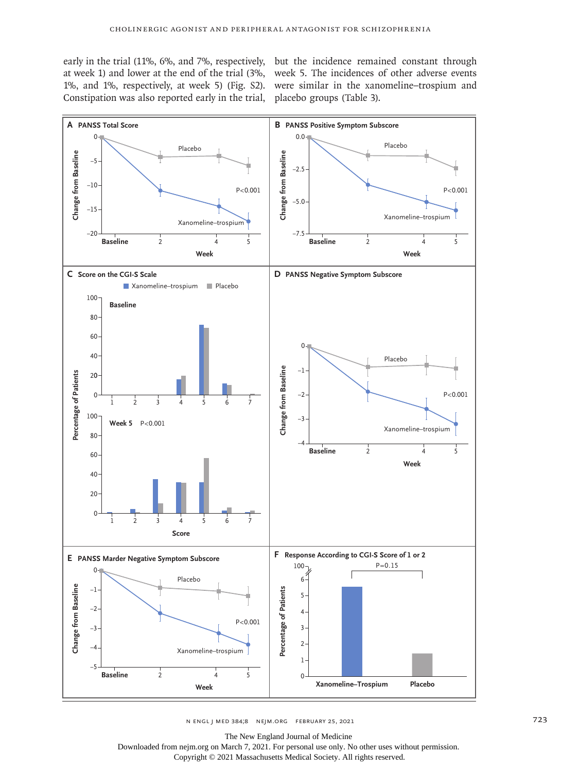at week 1) and lower at the end of the trial (3%, week 5. The incidences of other adverse events 1%, and 1%, respectively, at week 5) (Fig. S2). were similar in the xanomeline–trospium and Constipation was also reported early in the trial, placebo groups (Table 3).

early in the trial (11%, 6%, and 7%, respectively, but the incidence remained constant through



n engl j med 384;8 nejm.org February 25, 2021 723

The New England Journal of Medicine

Downloaded from nejm.org on March 7, 2021. For personal use only. No other uses without permission. Copyright © 2021 Massachusetts Medical Society. All rights reserved.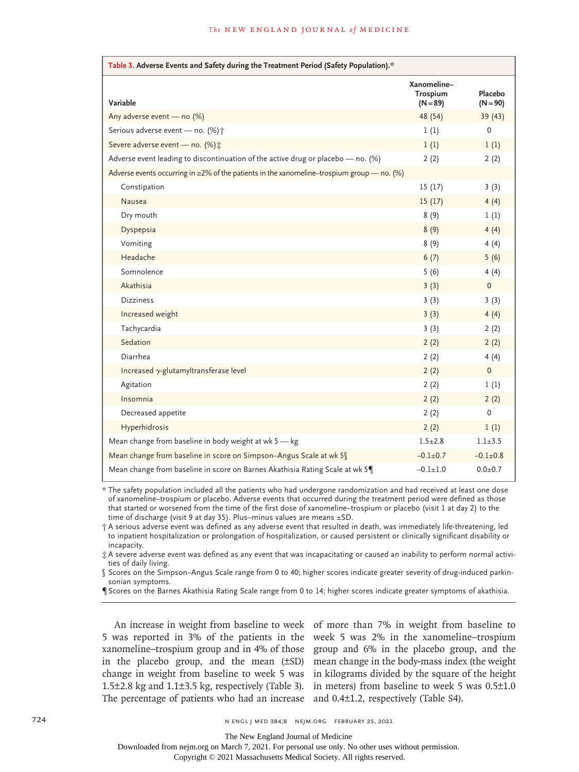| Table 3. Adverse Events and Safety during the Treatment Period (Safety Population).*             |                                              |                       |  |  |  |
|--------------------------------------------------------------------------------------------------|----------------------------------------------|-----------------------|--|--|--|
| Variable                                                                                         | Xanomeline-<br><b>Trospium</b><br>$(N = 89)$ | Placebo<br>$(N = 90)$ |  |  |  |
| Any adverse event - no (%)                                                                       | 48 (54)                                      | 39 (43)               |  |  |  |
| Serious adverse event - no. (%) +                                                                | 1(1)                                         | $\mathbf 0$           |  |  |  |
| Severe adverse event - no. (%) ±                                                                 | 1(1)                                         | 1(1)                  |  |  |  |
| Adverse event leading to discontinuation of the active drug or placebo - no. (%)                 | 2(2)                                         | 2(2)                  |  |  |  |
| Adverse events occurring in $\geq$ 2% of the patients in the xanomeline-trospium group — no. (%) |                                              |                       |  |  |  |
| Constipation                                                                                     | 15(17)                                       | 3(3)                  |  |  |  |
| Nausea                                                                                           | 15(17)                                       | 4(4)                  |  |  |  |
| Dry mouth                                                                                        | 8(9)                                         | 1(1)                  |  |  |  |
| Dyspepsia                                                                                        | 8(9)                                         | 4(4)                  |  |  |  |
| Vomiting                                                                                         | 8(9)                                         | 4(4)                  |  |  |  |
| Headache                                                                                         | 6(7)                                         | 5(6)                  |  |  |  |
| Somnolence                                                                                       | 5(6)                                         | 4(4)                  |  |  |  |
| Akathisia                                                                                        | 3(3)                                         | $\Omega$              |  |  |  |
| <b>Dizziness</b>                                                                                 | 3(3)                                         | 3(3)                  |  |  |  |
| Increased weight                                                                                 | 3(3)                                         | 4(4)                  |  |  |  |
| Tachycardia                                                                                      | 3(3)                                         | 2(2)                  |  |  |  |
| Sedation                                                                                         | 2(2)                                         | 2(2)                  |  |  |  |
| Diarrhea                                                                                         | 2(2)                                         | 4(4)                  |  |  |  |
| Increased $\gamma$ -glutamyltransferase level                                                    | 2(2)                                         | $\mathbf{0}$          |  |  |  |
| Agitation                                                                                        | 2(2)                                         | 1(1)                  |  |  |  |
| Insomnia                                                                                         | 2(2)                                         | 2(2)                  |  |  |  |
| Decreased appetite                                                                               | 2(2)                                         | 0                     |  |  |  |
| Hyperhidrosis                                                                                    | 2(2)                                         | 1(1)                  |  |  |  |
| Mean change from baseline in body weight at wk 5 - kg                                            | $1.5 \pm 2.8$                                | $1.1 + 3.5$           |  |  |  |
| Mean change from baseline in score on Simpson-Angus Scale at wk 5                                | $-0.1 + 0.7$                                 | $-0.1 \pm 0.8$        |  |  |  |
| Mean change from baseline in score on Barnes Akathisia Rating Scale at wk 5                      | $-0.1 + 1.0$                                 | $0.0 + 0.7$           |  |  |  |

\* The safety population included all the patients who had undergone randomization and had received at least one dose of xanomeline–trospium or placebo. Adverse events that occurred during the treatment period were defined as those that started or worsened from the time of the first dose of xanomeline–trospium or placebo (visit 1 at day 2) to the time of discharge (visit 9 at day 35). Plus–minus values are means ±SD.

† A serious adverse event was defined as any adverse event that resulted in death, was immediately life-threatening, led to inpatient hospitalization or prolongation of hospitalization, or caused persistent or clinically significant disability or incapacity.

‡ A severe adverse event was defined as any event that was incapacitating or caused an inability to perform normal activities of daily living.

§ Scores on the Simpson–Angus Scale range from 0 to 40; higher scores indicate greater severity of drug-induced parkinsonian symptoms.

¶ Scores on the Barnes Akathisia Rating Scale range from 0 to 14; higher scores indicate greater symptoms of akathisia.

The percentage of patients who had an increase and 0.4±1.2, respectively (Table S4).

An increase in weight from baseline to week of more than 7% in weight from baseline to 5 was reported in 3% of the patients in the week 5 was 2% in the xanomeline–trospium xanomeline–trospium group and in 4% of those group and 6% in the placebo group, and the in the placebo group, and the mean (±SD) mean change in the body-mass index (the weight change in weight from baseline to week 5 was in kilograms divided by the square of the height 1.5±2.8 kg and 1.1±3.5 kg, respectively (Table 3). in meters) from baseline to week 5 was 0.5±1.0

The New England Journal of Medicine

Downloaded from nejm.org on March 7, 2021. For personal use only. No other uses without permission.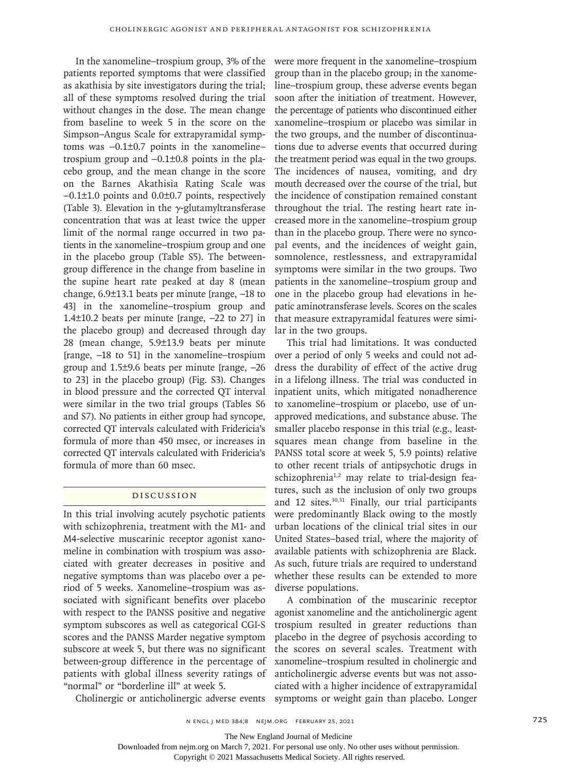In the xanomeline–trospium group, 3% of the patients reported symptoms that were classified as akathisia by site investigators during the trial; all of these symptoms resolved during the trial without changes in the dose. The mean change from baseline to week 5 in the score on the Simpson–Angus Scale for extrapyramidal symptoms was −0.1±0.7 points in the xanomeline– trospium group and −0.1±0.8 points in the placebo group, and the mean change in the score on the Barnes Akathisia Rating Scale was −0.1±1.0 points and 0.0±0.7 points, respectively (Table 3). Elevation in the  $\gamma$ -glutamyltransferase concentration that was at least twice the upper limit of the normal range occurred in two patients in the xanomeline–trospium group and one in the placebo group (Table S5). The betweengroup difference in the change from baseline in the supine heart rate peaked at day 8 (mean change, 6.9±13.1 beats per minute [range, −18 to 43] in the xanomeline–trospium group and 1.4±10.2 beats per minute [range, −22 to 27] in the placebo group) and decreased through day 28 (mean change, 5.9±13.9 beats per minute [range, −18 to 51] in the xanomeline–trospium group and 1.5±9.6 beats per minute [range, −26 to 23] in the placebo group) (Fig. S3). Changes in blood pressure and the corrected QT interval were similar in the two trial groups (Tables S6 and S7). No patients in either group had syncope, corrected QT intervals calculated with Fridericia's formula of more than 450 msec, or increases in corrected QT intervals calculated with Fridericia's formula of more than 60 msec.

## Discussion

In this trial involving acutely psychotic patients with schizophrenia, treatment with the M1- and M4-selective muscarinic receptor agonist xanomeline in combination with trospium was associated with greater decreases in positive and negative symptoms than was placebo over a period of 5 weeks. Xanomeline–trospium was associated with significant benefits over placebo with respect to the PANSS positive and negative symptom subscores as well as categorical CGI-S scores and the PANSS Marder negative symptom subscore at week 5, but there was no significant between-group difference in the percentage of patients with global illness severity ratings of "normal" or "borderline ill" at week 5.

were more frequent in the xanomeline–trospium group than in the placebo group; in the xanomeline–trospium group, these adverse events began soon after the initiation of treatment. However, the percentage of patients who discontinued either xanomeline–trospium or placebo was similar in the two groups, and the number of discontinuations due to adverse events that occurred during the treatment period was equal in the two groups. The incidences of nausea, vomiting, and dry mouth decreased over the course of the trial, but the incidence of constipation remained constant throughout the trial. The resting heart rate increased more in the xanomeline–trospium group than in the placebo group. There were no syncopal events, and the incidences of weight gain, somnolence, restlessness, and extrapyramidal symptoms were similar in the two groups. Two patients in the xanomeline–trospium group and one in the placebo group had elevations in hepatic aminotransferase levels. Scores on the scales that measure extrapyramidal features were similar in the two groups.

This trial had limitations. It was conducted over a period of only 5 weeks and could not address the durability of effect of the active drug in a lifelong illness. The trial was conducted in inpatient units, which mitigated nonadherence to xanomeline–trospium or placebo, use of unapproved medications, and substance abuse. The smaller placebo response in this trial (e.g., leastsquares mean change from baseline in the PANSS total score at week 5, 5.9 points) relative to other recent trials of antipsychotic drugs in schizophrenia<sup>1,2</sup> may relate to trial-design features, such as the inclusion of only two groups and 12 sites.30,31 Finally, our trial participants were predominantly Black owing to the mostly urban locations of the clinical trial sites in our United States–based trial, where the majority of available patients with schizophrenia are Black. As such, future trials are required to understand whether these results can be extended to more diverse populations.

A combination of the muscarinic receptor agonist xanomeline and the anticholinergic agent trospium resulted in greater reductions than placebo in the degree of psychosis according to the scores on several scales. Treatment with xanomeline–trospium resulted in cholinergic and anticholinergic adverse events but was not associated with a higher incidence of extrapyramidal symptoms or weight gain than placebo. Longer

Cholinergic or anticholinergic adverse events

The New England Journal of Medicine

Downloaded from nejm.org on March 7, 2021. For personal use only. No other uses without permission.